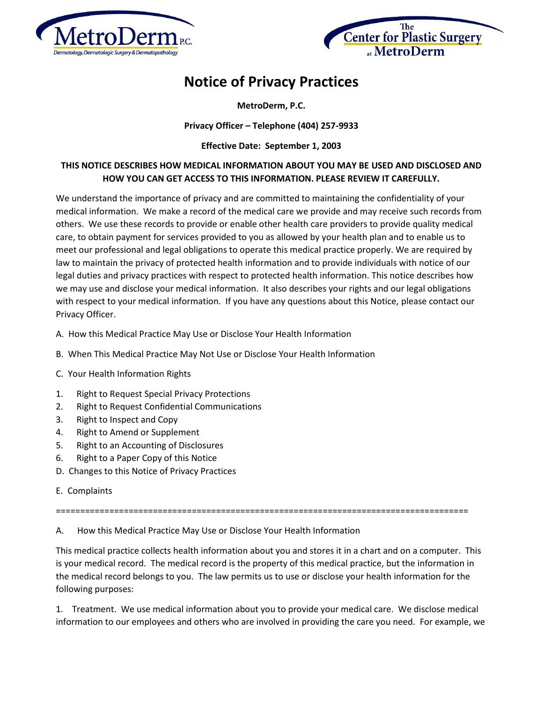



## **Notice of Privacy Practices**

**MetroDerm, P.C.**

## **Privacy Officer – Telephone (404) 257-9933**

**Effective Date: September 1, 2003**

## **THIS NOTICE DESCRIBES HOW MEDICAL INFORMATION ABOUT YOU MAY BE USED AND DISCLOSED AND HOW YOU CAN GET ACCESS TO THIS INFORMATION. PLEASE REVIEW IT CAREFULLY.**

We understand the importance of privacy and are committed to maintaining the confidentiality of your medical information. We make a record of the medical care we provide and may receive such records from others. We use these records to provide or enable other health care providers to provide quality medical care, to obtain payment for services provided to you as allowed by your health plan and to enable us to meet our professional and legal obligations to operate this medical practice properly. We are required by law to maintain the privacy of protected health information and to provide individuals with notice of our legal duties and privacy practices with respect to protected health information. This notice describes how we may use and disclose your medical information. It also describes your rights and our legal obligations with respect to your medical information. If you have any questions about this Notice, please contact our Privacy Officer.

- A. How this Medical Practice May Use or Disclose Your Health Information
- B. When This Medical Practice May Not Use or Disclose Your Health Information
- C. Your Health Information Rights
- 1. Right to Request Special Privacy Protections
- 2. Right to Request Confidential Communications
- 3. Right to Inspect and Copy
- 4. Right to Amend or Supplement
- 5. Right to an Accounting of Disclosures
- 6. Right to a Paper Copy of this Notice
- D. Changes to this Notice of Privacy Practices
- E. Complaints

=====================================================================================

A. How this Medical Practice May Use or Disclose Your Health Information

This medical practice collects health information about you and stores it in a chart and on a computer. This is your medical record. The medical record is the property of this medical practice, but the information in the medical record belongs to you. The law permits us to use or disclose your health information for the following purposes:

1. Treatment. We use medical information about you to provide your medical care. We disclose medical information to our employees and others who are involved in providing the care you need. For example, we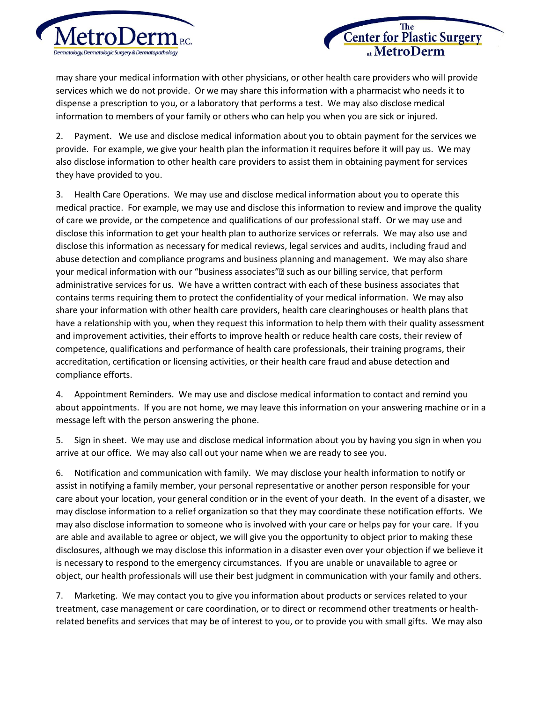



may share your medical information with other physicians, or other health care providers who will provide services which we do not provide. Or we may share this information with a pharmacist who needs it to dispense a prescription to you, or a laboratory that performs a test. We may also disclose medical information to members of your family or others who can help you when you are sick or injured.

2. Payment. We use and disclose medical information about you to obtain payment for the services we provide. For example, we give your health plan the information it requires before it will pay us. We may also disclose information to other health care providers to assist them in obtaining payment for services they have provided to you.

3. Health Care Operations. We may use and disclose medical information about you to operate this medical practice. For example, we may use and disclose this information to review and improve the quality of care we provide, or the competence and qualifications of our professional staff. Or we may use and disclose this information to get your health plan to authorize services or referrals. We may also use and disclose this information as necessary for medical reviews, legal services and audits, including fraud and abuse detection and compliance programs and business planning and management. We may also share your medical information with our "business associates"• such as our billing service, that perform administrative services for us. We have a written contract with each of these business associates that contains terms requiring them to protect the confidentiality of your medical information. We may also share your information with other health care providers, health care clearinghouses or health plans that have a relationship with you, when they request this information to help them with their quality assessment and improvement activities, their efforts to improve health or reduce health care costs, their review of competence, qualifications and performance of health care professionals, their training programs, their accreditation, certification or licensing activities, or their health care fraud and abuse detection and compliance efforts.

4. Appointment Reminders. We may use and disclose medical information to contact and remind you about appointments. If you are not home, we may leave this information on your answering machine or in a message left with the person answering the phone.

5. Sign in sheet. We may use and disclose medical information about you by having you sign in when you arrive at our office. We may also call out your name when we are ready to see you.

6. Notification and communication with family. We may disclose your health information to notify or assist in notifying a family member, your personal representative or another person responsible for your care about your location, your general condition or in the event of your death. In the event of a disaster, we may disclose information to a relief organization so that they may coordinate these notification efforts. We may also disclose information to someone who is involved with your care or helps pay for your care. If you are able and available to agree or object, we will give you the opportunity to object prior to making these disclosures, although we may disclose this information in a disaster even over your objection if we believe it is necessary to respond to the emergency circumstances. If you are unable or unavailable to agree or object, our health professionals will use their best judgment in communication with your family and others.

7. Marketing. We may contact you to give you information about products or services related to your treatment, case management or care coordination, or to direct or recommend other treatments or healthrelated benefits and services that may be of interest to you, or to provide you with small gifts. We may also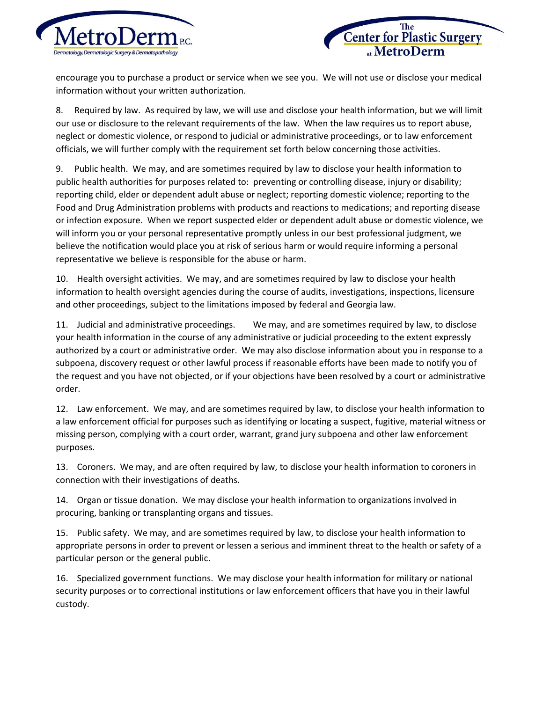

**Center for Plastic Surgery** 

encourage you to purchase a product or service when we see you. We will not use or disclose your medical information without your written authorization.

8. Required by law. As required by law, we will use and disclose your health information, but we will limit our use or disclosure to the relevant requirements of the law. When the law requires us to report abuse, neglect or domestic violence, or respond to judicial or administrative proceedings, or to law enforcement officials, we will further comply with the requirement set forth below concerning those activities.

9. Public health. We may, and are sometimes required by law to disclose your health information to public health authorities for purposes related to: preventing or controlling disease, injury or disability; reporting child, elder or dependent adult abuse or neglect; reporting domestic violence; reporting to the Food and Drug Administration problems with products and reactions to medications; and reporting disease or infection exposure. When we report suspected elder or dependent adult abuse or domestic violence, we will inform you or your personal representative promptly unless in our best professional judgment, we believe the notification would place you at risk of serious harm or would require informing a personal representative we believe is responsible for the abuse or harm.

10. Health oversight activities. We may, and are sometimes required by law to disclose your health information to health oversight agencies during the course of audits, investigations, inspections, licensure and other proceedings, subject to the limitations imposed by federal and Georgia law.

11. Judicial and administrative proceedings. We may, and are sometimes required by law, to disclose your health information in the course of any administrative or judicial proceeding to the extent expressly authorized by a court or administrative order. We may also disclose information about you in response to a subpoena, discovery request or other lawful process if reasonable efforts have been made to notify you of the request and you have not objected, or if your objections have been resolved by a court or administrative order.

12. Law enforcement. We may, and are sometimes required by law, to disclose your health information to a law enforcement official for purposes such as identifying or locating a suspect, fugitive, material witness or missing person, complying with a court order, warrant, grand jury subpoena and other law enforcement purposes.

13. Coroners. We may, and are often required by law, to disclose your health information to coroners in connection with their investigations of deaths.

14. Organ or tissue donation. We may disclose your health information to organizations involved in procuring, banking or transplanting organs and tissues.

15. Public safety. We may, and are sometimes required by law, to disclose your health information to appropriate persons in order to prevent or lessen a serious and imminent threat to the health or safety of a particular person or the general public.

16. Specialized government functions. We may disclose your health information for military or national security purposes or to correctional institutions or law enforcement officers that have you in their lawful custody.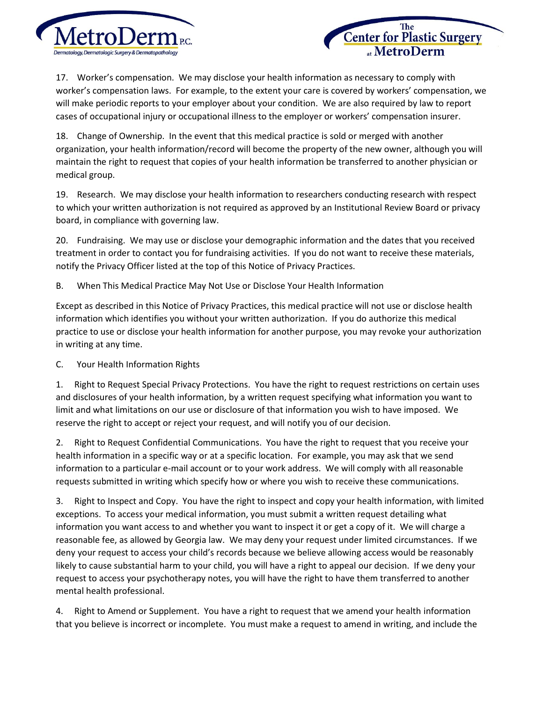

Center for Plastic Surgery at MetroDerm

17. Worker's compensation. We may disclose your health information as necessary to comply with worker's compensation laws. For example, to the extent your care is covered by workers' compensation, we will make periodic reports to your employer about your condition. We are also required by law to report cases of occupational injury or occupational illness to the employer or workers' compensation insurer.

18. Change of Ownership. In the event that this medical practice is sold or merged with another organization, your health information/record will become the property of the new owner, although you will maintain the right to request that copies of your health information be transferred to another physician or medical group.

19. Research. We may disclose your health information to researchers conducting research with respect to which your written authorization is not required as approved by an Institutional Review Board or privacy board, in compliance with governing law.

20. Fundraising. We may use or disclose your demographic information and the dates that you received treatment in order to contact you for fundraising activities. If you do not want to receive these materials, notify the Privacy Officer listed at the top of this Notice of Privacy Practices.

B. When This Medical Practice May Not Use or Disclose Your Health Information

Except as described in this Notice of Privacy Practices, this medical practice will not use or disclose health information which identifies you without your written authorization. If you do authorize this medical practice to use or disclose your health information for another purpose, you may revoke your authorization in writing at any time.

C. Your Health Information Rights

1. Right to Request Special Privacy Protections. You have the right to request restrictions on certain uses and disclosures of your health information, by a written request specifying what information you want to limit and what limitations on our use or disclosure of that information you wish to have imposed. We reserve the right to accept or reject your request, and will notify you of our decision.

2. Right to Request Confidential Communications. You have the right to request that you receive your health information in a specific way or at a specific location. For example, you may ask that we send information to a particular e-mail account or to your work address. We will comply with all reasonable requests submitted in writing which specify how or where you wish to receive these communications.

3. Right to Inspect and Copy. You have the right to inspect and copy your health information, with limited exceptions. To access your medical information, you must submit a written request detailing what information you want access to and whether you want to inspect it or get a copy of it. We will charge a reasonable fee, as allowed by Georgia law. We may deny your request under limited circumstances. If we deny your request to access your child's records because we believe allowing access would be reasonably likely to cause substantial harm to your child, you will have a right to appeal our decision. If we deny your request to access your psychotherapy notes, you will have the right to have them transferred to another mental health professional.

4. Right to Amend or Supplement. You have a right to request that we amend your health information that you believe is incorrect or incomplete. You must make a request to amend in writing, and include the